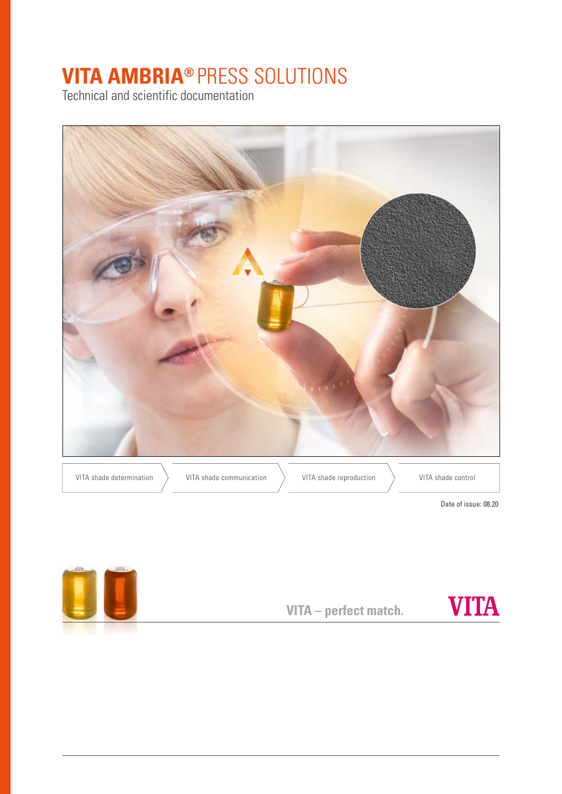# **VITA AMBRIA®** PRESS SOLUTIONS

Technical and scientific documentation



Date of issue: 08.20



**VITA – perfect match.**

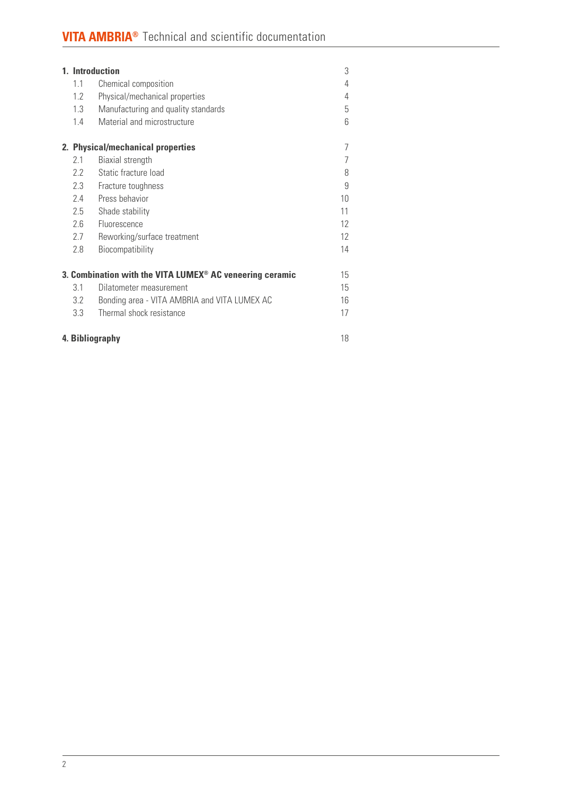| 1. Introduction                                                            |                 |                                              |    |  |  |
|----------------------------------------------------------------------------|-----------------|----------------------------------------------|----|--|--|
|                                                                            | 1.1             | Chemical composition                         | 4  |  |  |
|                                                                            | 1.2             | Physical/mechanical properties               | 4  |  |  |
|                                                                            | 1.3             | Manufacturing and quality standards          | 5  |  |  |
|                                                                            | 1.4             | Material and microstructure                  | 6  |  |  |
|                                                                            |                 | 2. Physical/mechanical properties            | 7  |  |  |
|                                                                            | 2.1             | Biaxial strength                             | 7  |  |  |
|                                                                            | 22              | Static fracture load                         | 8  |  |  |
|                                                                            | 2.3             | Fracture toughness                           | 9  |  |  |
|                                                                            | 24              | Press behavior                               | 10 |  |  |
|                                                                            | 2.5             | Shade stability                              | 11 |  |  |
|                                                                            | 2.6             | Fluorescence                                 | 12 |  |  |
|                                                                            | 2.7             | Reworking/surface treatment                  | 12 |  |  |
|                                                                            | 2.8             | Biocompatibility                             | 14 |  |  |
| 3. Combination with the VITA LUMEX <sup>®</sup> AC veneering ceramic<br>15 |                 |                                              |    |  |  |
|                                                                            | 31              | Dilatometer measurement                      | 15 |  |  |
|                                                                            | 3.2             | Bonding area - VITA AMBRIA and VITA LUMEX AC | 16 |  |  |
|                                                                            | 3.3             | Thermal shock resistance                     | 17 |  |  |
|                                                                            | 4. Bibliography |                                              |    |  |  |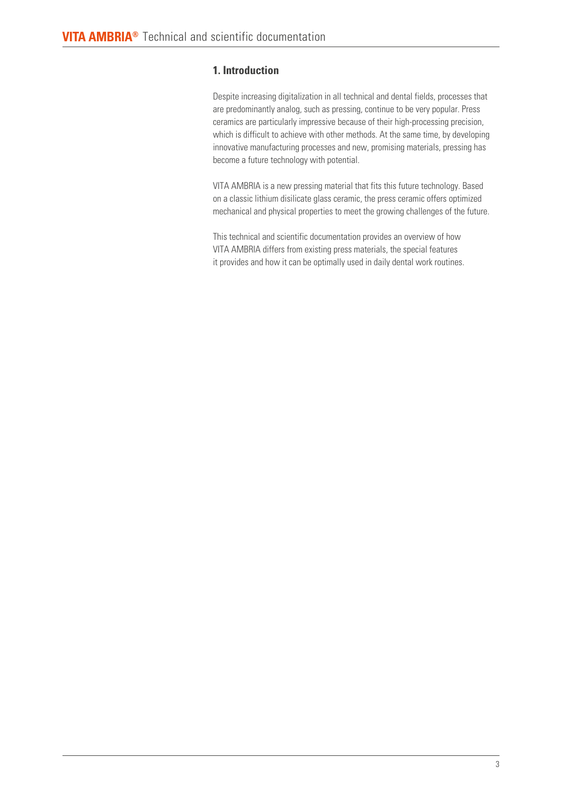# **1. Introduction**

Despite increasing digitalization in all technical and dental fields, processes that are predominantly analog, such as pressing, continue to be very popular. Press ceramics are particularly impressive because of their high-processing precision, which is difficult to achieve with other methods. At the same time, by developing innovative manufacturing processes and new, promising materials, pressing has become a future technology with potential.

VITA AMBRIA is a new pressing material that fits this future technology. Based on a classic lithium disilicate glass ceramic, the press ceramic offers optimized mechanical and physical properties to meet the growing challenges of the future.

This technical and scientific documentation provides an overview of how VITA AMBRIA differs from existing press materials, the special features it provides and how it can be optimally used in daily dental work routines.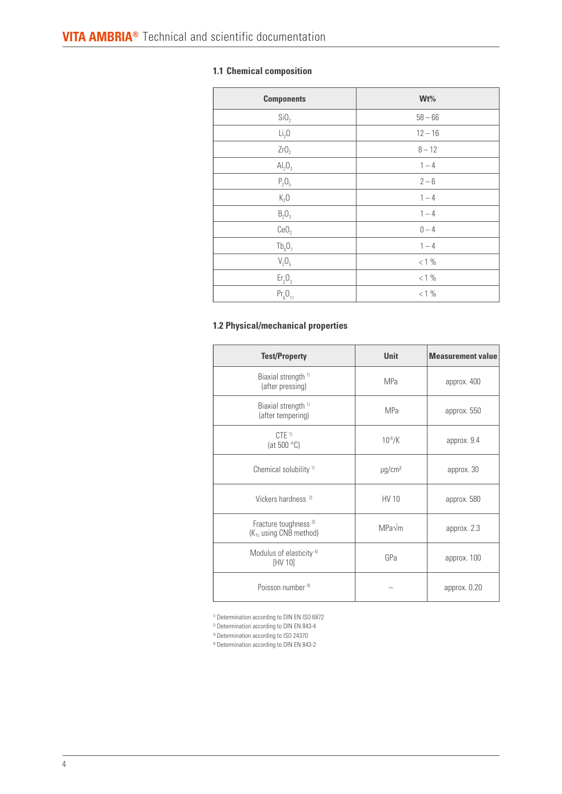# **1.1 Chemical composition**

| <b>Components</b>              | $Wt\%$    |
|--------------------------------|-----------|
| SiO <sub>2</sub>               | $58 - 66$ |
| Li <sub>2</sub> O              | $12 - 16$ |
| ZrO <sub>2</sub>               | $8 - 12$  |
| Al <sub>2</sub> O <sub>3</sub> | $1 - 4$   |
| $P_2O_5$                       | $2 - 6$   |
| K <sub>2</sub> 0               | $1 - 4$   |
| $B_2O_3$                       | $1 - 4$   |
| CeO <sub>2</sub>               | $0 - 4$   |
| $Tb_4O_7$                      | $1 - 4$   |
| $V_2O_5$                       | $< 1\%$   |
| Er <sub>2</sub> O <sub>3</sub> | $< 1\%$   |
| $Pr_{6}O_{11}$                 | $< 1\%$   |

## **1.2 Physical/mechanical properties**

| <b>Test/Property</b>                                                   | <b>Unit</b>             | <b>Measurement value</b> |
|------------------------------------------------------------------------|-------------------------|--------------------------|
| Biaxial strength <sup>1)</sup><br>(after pressing)                     | MPa                     | approx. 400              |
| Biaxial strength <sup>1)</sup><br>(after tempering)                    | <b>MPa</b>              | approx. 550              |
| $CTE$ <sup>1)</sup><br>(at 500 $^{\circ}$ C)                           | $10^{-6}$ /K            | approx. 9.4              |
| Chemical solubility <sup>1)</sup>                                      | $\mu$ g/cm <sup>2</sup> | approx. 30               |
| Vickers hardness <sup>2)</sup>                                         | HV 10                   | approx. 580              |
| Fracture toughness <sup>3)</sup><br>(K <sub>1c</sub> using CNB method) | MPa√m                   | approx. 2.3              |
| Modulus of elasticity <sup>4)</sup><br>[HV 10]                         | GPa                     | approx. 100              |
| Poisson number <sup>4)</sup>                                           |                         | approx. 0.20             |

<sup>1)</sup> Determination according to DIN EN ISO 6872

<sup>2)</sup> Determination according to DIN EN 843-4

<sup>3)</sup> Determination according to ISO 24370

4) Determination according to DIN EN 843-2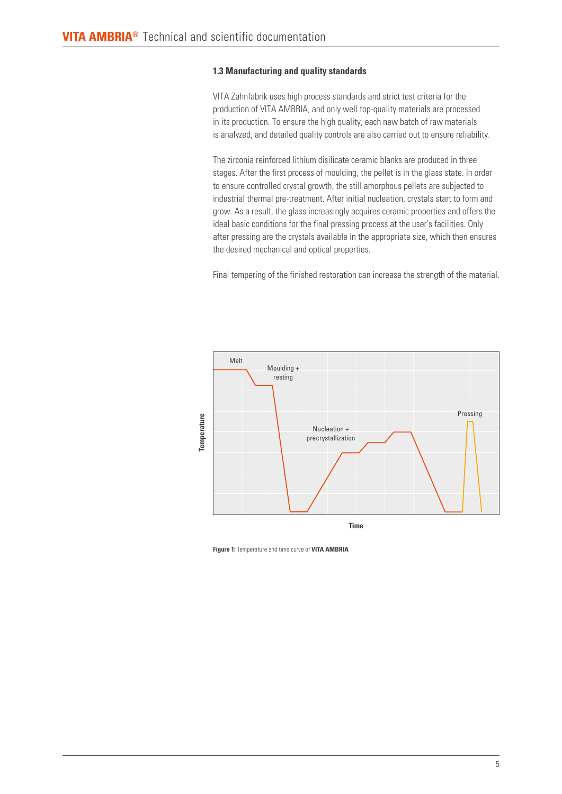## **1.3 Manufacturing and quality standards**

VITA Zahnfabrik uses high process standards and strict test criteria for the production of VITA AMBRIA, and only well top-quality materials are processed in its production. To ensure the high quality, each new batch of raw materials is analyzed, and detailed quality controls are also carried out to ensure reliability.

The zirconia reinforced lithium disilicate ceramic blanks are produced in three stages. After the first process of moulding, the pellet is in the glass state. In order to ensure controlled crystal growth, the still amorphous pellets are subjected to industrial thermal pre-treatment. After initial nucleation, crystals start to form and grow. As a result, the glass increasingly acquires ceramic properties and offers the ideal basic conditions for the final pressing process at the user's facilities. Only after pressing are the crystals available in the appropriate size, which then ensures the desired mechanical and optical properties.

Final tempering of the finished restoration can increase the strength of the material.



**Figure 1:** Temperature and time curve of **VITA AMBRIA**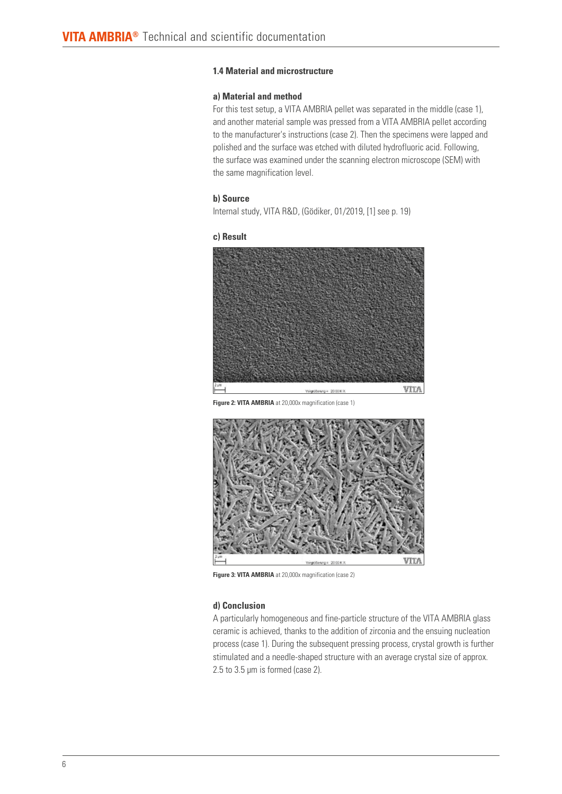## **1.4 Material and microstructure**

## **a) Material and method**

For this test setup, a VITA AMBRIA pellet was separated in the middle (case 1), and another material sample was pressed from a VITA AMBRIA pellet according to the manufacturer's instructions (case 2). Then the specimens were lapped and polished and the surface was etched with diluted hydrofluoric acid. Following, the surface was examined under the scanning electron microscope (SEM) with the same magnification level.

#### **b) Source**

Internal study, VITA R&D, (Gödiker, 01/2019, [1] see p. 19)

#### **c) Result**



**Figure 2: VITA AMBRIA** at 20,000x magnification (case 1)



**Figure 3: VITA AMBRIA** at 20,000x magnification (case 2)

## **d) Conclusion**

A particularly homogeneous and fine-particle structure of the VITA AMBRIA glass ceramic is achieved, thanks to the addition of zirconia and the ensuing nucleation process (case 1). During the subsequent pressing process, crystal growth is further stimulated and a needle-shaped structure with an average crystal size of approx. 2.5 to 3.5 μm is formed (case 2).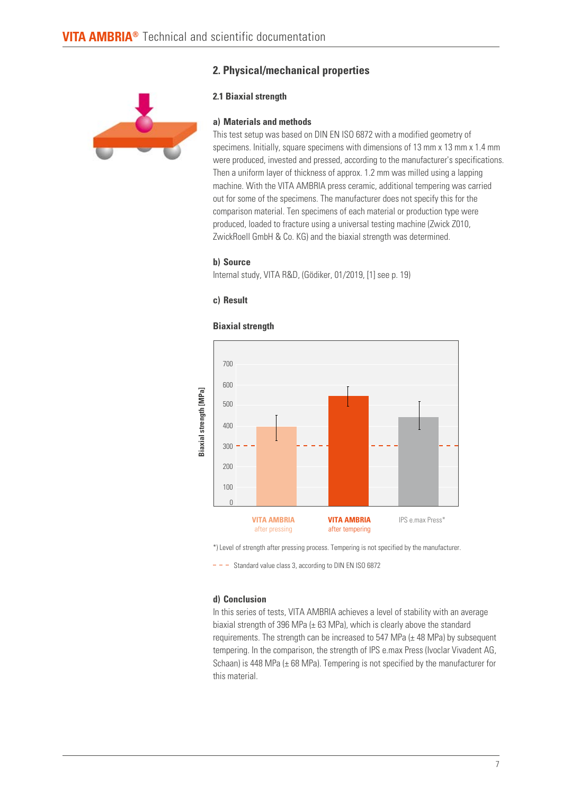# **2. Physical/mechanical properties**



# **2.1 Biaxial strength**

## **a) Materials and methods**

This test setup was based on DIN EN ISO 6872 with a modified geometry of specimens. Initially, square specimens with dimensions of 13 mm x 13 mm x 1.4 mm were produced, invested and pressed, according to the manufacturer's specifications. Then a uniform layer of thickness of approx. 1.2 mm was milled using a lapping machine. With the VITA AMBRIA press ceramic, additional tempering was carried out for some of the specimens. The manufacturer does not specify this for the comparison material. Ten specimens of each material or production type were produced, loaded to fracture using a universal testing machine (Zwick Z010, ZwickRoell GmbH & Co. KG) and the biaxial strength was determined.

#### **b) Source**

Internal study, VITA R&D, (Gödiker, 01/2019, [1] see p. 19)

## **c) Result**

# 700 600 Biaxial strength [MPa] **Biaxial strength [MPa]** 500 400 300 200 100 0 **VITA AMBRIA VITA AMBRIA**  IPS e.max Press\* after pressing after tempering

# **Biaxial strength**

\*) Level of strength after pressing process. Tempering is not specified by the manufacturer.

 $- -$  Standard value class 3, according to DIN EN ISO 6872

## **d) Conclusion**

In this series of tests, VITA AMBRIA achieves a level of stability with an average biaxial strength of 396 MPa ( $\pm$  63 MPa), which is clearly above the standard requirements. The strength can be increased to 547 MPa  $(\pm 48$  MPa) by subsequent tempering. In the comparison, the strength of IPS e.max Press (Ivoclar Vivadent AG, Schaan) is 448 MPa ( $\pm$  68 MPa). Tempering is not specified by the manufacturer for this material.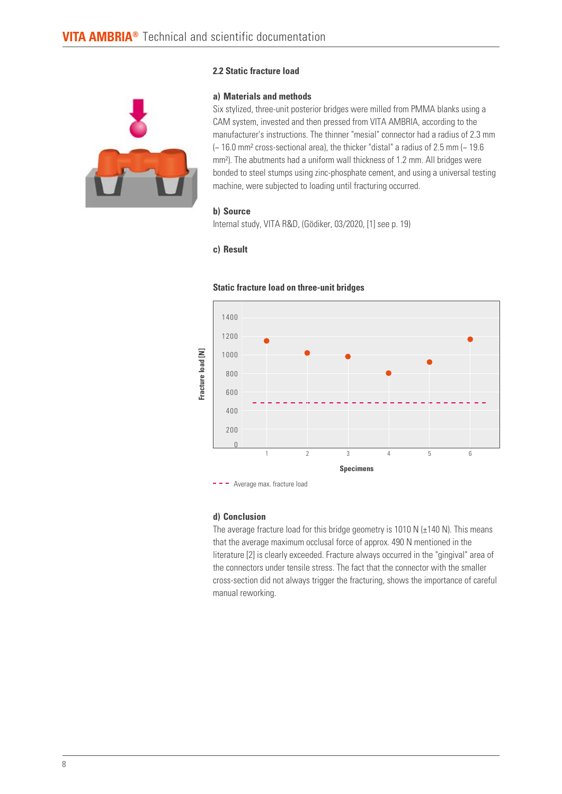

## **2.2 Static fracture load**

## **a) Materials and methods**

Six stylized, three-unit posterior bridges were milled from PMMA blanks using a CAM system, invested and then pressed from VITA AMBRIA, according to the manufacturer's instructions. The thinner "mesial" connector had a radius of 2.3 mm  $\sim$  16.0 mm<sup>2</sup> cross-sectional area), the thicker "distal" a radius of 2.5 mm  $\sim$  19.6 mm²). The abutments had a uniform wall thickness of 1.2 mm. All bridges were bonded to steel stumps using zinc-phosphate cement, and using a universal testing machine, were subjected to loading until fracturing occurred.

## **b) Source**

Internal study, VITA R&D, (Gödiker, 03/2020, [1] see p. 19)

## **c) Result**



### **Static fracture load on three-unit bridges**

- - Average max. fracture load

#### **d) Conclusion**

The average fracture load for this bridge geometry is 1010 N  $(\pm 140$  N). This means that the average maximum occlusal force of approx. 490 N mentioned in the literature [2] is clearly exceeded. Fracture always occurred in the "gingival" area of the connectors under tensile stress. The fact that the connector with the smaller cross-section did not always trigger the fracturing, shows the importance of careful manual reworking.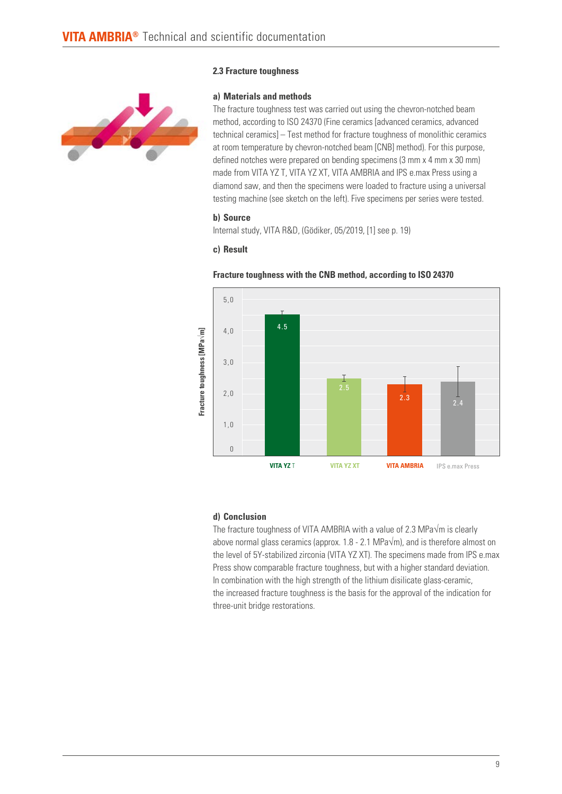## **2.3 Fracture toughness**



**a) Materials and methods**

The fracture toughness test was carried out using the chevron-notched beam method, according to ISO 24370 (Fine ceramics [advanced ceramics, advanced technical ceramics] – Test method for fracture toughness of monolithic ceramics at room temperature by chevron-notched beam [CNB] method). For this purpose, defined notches were prepared on bending specimens (3 mm x 4 mm x 30 mm) made from VITA YZ T, VITA YZ XT, VITA AMBRIA and IPS e.max Press using a diamond saw, and then the specimens were loaded to fracture using a universal testing machine (see sketch on the left). Five specimens per series were tested.

## **b) Source**

Internal study, VITA R&D, (Gödiker, 05/2019, [1] see p. 19)

#### **c) Result**





#### **d) Conclusion**

The fracture toughness of VITA AMBRIA with a value of 2.3 MPa√m is clearly above normal glass ceramics (approx. 1.8 - 2.1 MPa $\sqrt{m}$ ), and is therefore almost on the level of 5Y-stabilized zirconia (VITA YZ XT). The specimens made from IPS e.max Press show comparable fracture toughness, but with a higher standard deviation. In combination with the high strength of the lithium disilicate glass-ceramic, the increased fracture toughness is the basis for the approval of the indication for three-unit bridge restorations.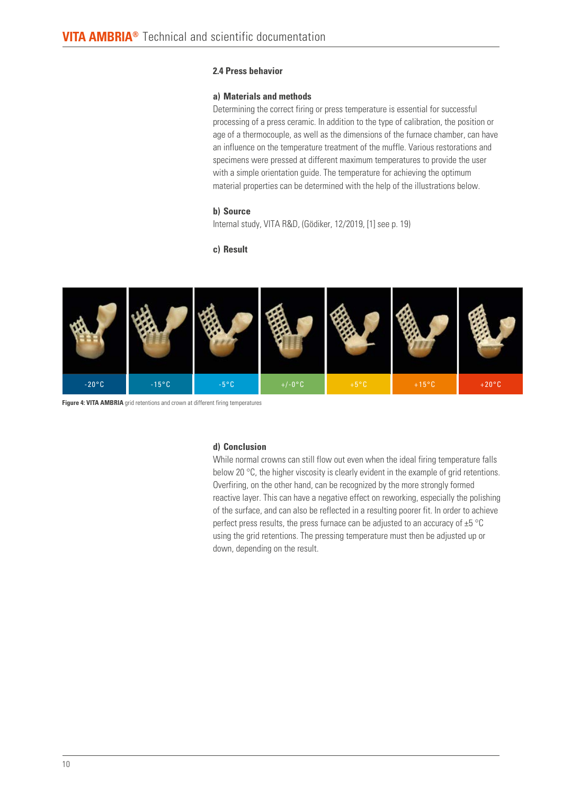## **2.4 Press behavior**

## **a) Materials and methods**

Determining the correct firing or press temperature is essential for successful processing of a press ceramic. In addition to the type of calibration, the position or age of a thermocouple, as well as the dimensions of the furnace chamber, can have an influence on the temperature treatment of the muffle. Various restorations and specimens were pressed at different maximum temperatures to provide the user with a simple orientation guide. The temperature for achieving the optimum material properties can be determined with the help of the illustrations below.

## **b) Source**

Internal study, VITA R&D, (Gödiker, 12/2019, [1] see p. 19)

## **c) Result**



**Figure 4: VITA AMBRIA** grid retentions and crown at different firing temperatures

## **d) Conclusion**

While normal crowns can still flow out even when the ideal firing temperature falls below 20 °C, the higher viscosity is clearly evident in the example of grid retentions. Overfiring, on the other hand, can be recognized by the more strongly formed reactive layer. This can have a negative effect on reworking, especially the polishing of the surface, and can also be reflected in a resulting poorer fit. In order to achieve perfect press results, the press furnace can be adjusted to an accuracy of  $\pm 5$  °C using the grid retentions. The pressing temperature must then be adjusted up or down, depending on the result.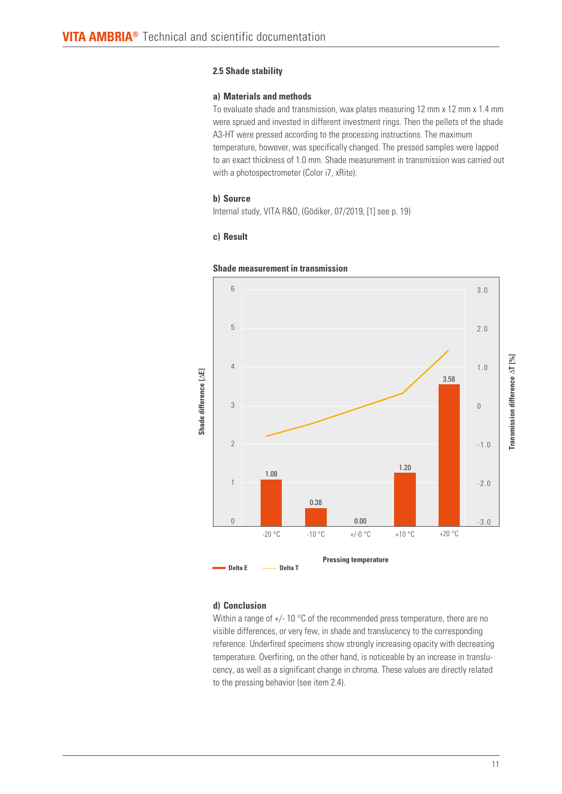## **2.5 Shade stability**

## **a) Materials and methods**

To evaluate shade and transmission, wax plates measuring 12 mm x 12 mm x 1.4 mm were sprued and invested in different investment rings. Then the pellets of the shade A3-HT were pressed according to the processing instructions. The maximum temperature, however, was specifically changed. The pressed samples were lapped to an exact thickness of 1.0 mm. Shade measurement in transmission was carried out with a photospectrometer (Color i7, xRite).

## **b) Source**

Internal study, VITA R&D, (Gödiker, 07/2019, [1] see p. 19)

## **c) Result**



## **Shade measurement in transmission**

## **d) Conclusion**

Within a range of  $+/- 10$  °C of the recommended press temperature, there are no visible differences, or very few, in shade and translucency to the corresponding reference. Underfired specimens show strongly increasing opacity with decreasing temperature. Overfiring, on the other hand, is noticeable by an increase in translucency, as well as a significant change in chroma. These values are directly related to the pressing behavior (see item 2.4).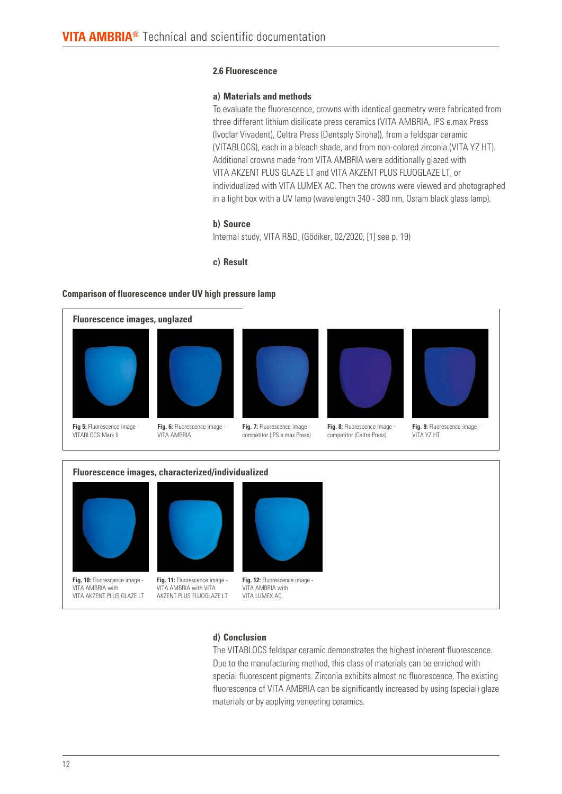## **2.6 Fluorescence**

## **a) Materials and methods**

To evaluate the fluorescence, crowns with identical geometry were fabricated from three different lithium disilicate press ceramics (VITA AMBRIA, IPS e.max Press (Ivoclar Vivadent), Celtra Press (Dentsply Sirona)), from a feldspar ceramic (VITABLOCS), each in a bleach shade, and from non-colored zirconia (VITA YZ HT). Additional crowns made from VITA AMBRIA were additionally glazed with VITA AKZENT PLUS GLAZE LT and VITA AKZENT PLUS FLUOGLAZE LT, or individualized with VITA LUMEX AC. Then the crowns were viewed and photographed in a light box with a UV lamp (wavelength 340 - 380 nm, Osram black glass lamp).

## **b) Source**

Internal study, VITA R&D, (Gödiker, 02/2020, [1] see p. 19)

## **c) Result**

## **Comparison of fluorescence under UV high pressure lamp**





**Fig. 10:** Fluorescence image - VITA AMBRIA with VITA AKZENT PLUS GLAZE LT





VITA AMBRIA with VITA LUMEX AC

## **d) Conclusion**

The VITABLOCS feldspar ceramic demonstrates the highest inherent fluorescence. Due to the manufacturing method, this class of materials can be enriched with special fluorescent pigments. Zirconia exhibits almost no fluorescence. The existing fluorescence of VITA AMBRIA can be significantly increased by using (special) glaze materials or by applying veneering ceramics.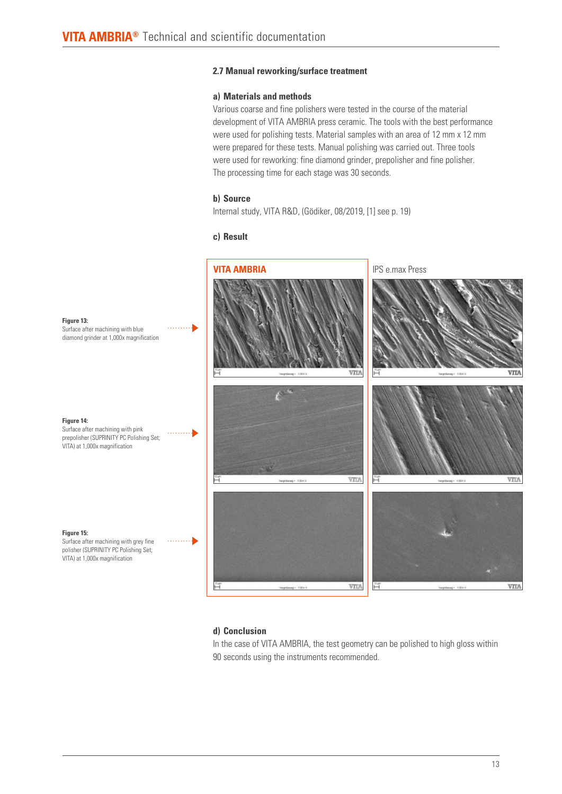## **2.7 Manual reworking/surface treatment**

## **a) Materials and methods**

Various coarse and fine polishers were tested in the course of the material development of VITA AMBRIA press ceramic. The tools with the best performance were used for polishing tests. Material samples with an area of 12 mm x 12 mm were prepared for these tests. Manual polishing was carried out. Three tools were used for reworking: fine diamond grinder, prepolisher and fine polisher. The processing time for each stage was 30 seconds.

## **b) Source**

Internal study, VITA R&D, (Gödiker, 08/2019, [1] see p. 19)

## **c) Result**



## **d) Conclusion**

In the case of VITA AMBRIA, the test geometry can be polished to high gloss within 90 seconds using the instruments recommended.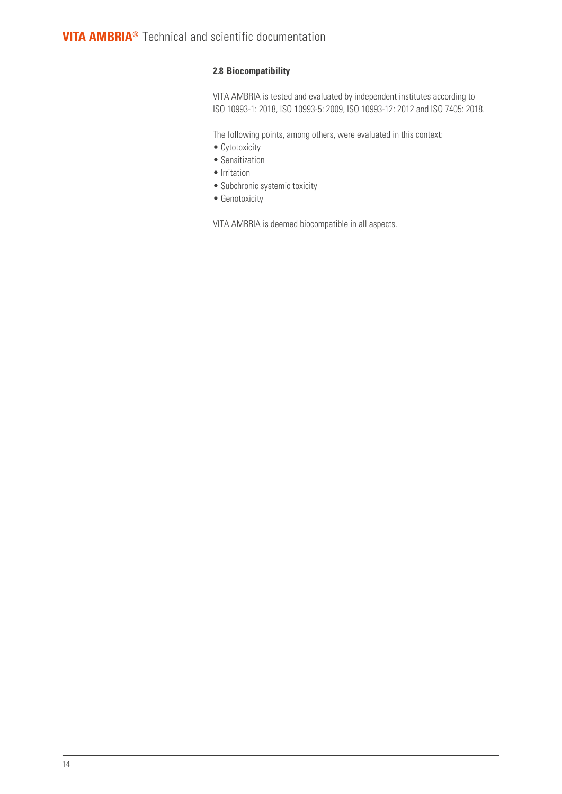## **2.8 Biocompatibility**

VITA AMBRIA is tested and evaluated by independent institutes according to ISO 10993-1: 2018, ISO 10993-5: 2009, ISO 10993-12: 2012 and ISO 7405: 2018.

The following points, among others, were evaluated in this context:

- Cytotoxicity
- Sensitization
- Irritation
- Subchronic systemic toxicity
- Genotoxicity

VITA AMBRIA is deemed biocompatible in all aspects.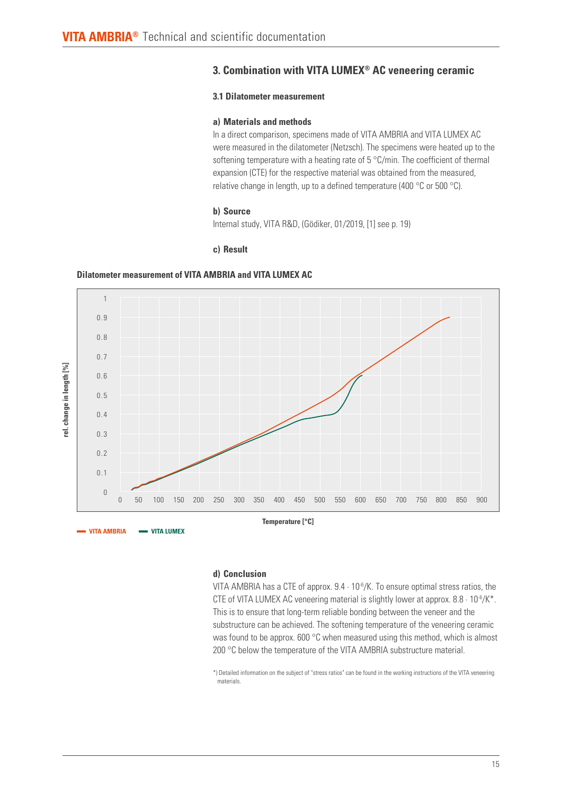# **3. Combination with VITA LUMEX® AC veneering ceramic**

## **3.1 Dilatometer measurement**

## **a) Materials and methods**

In a direct comparison, specimens made of VITA AMBRIA and VITA LUMEX AC were measured in the dilatometer (Netzsch). The specimens were heated up to the softening temperature with a heating rate of 5 °C/min. The coefficient of thermal expansion (CTE) for the respective material was obtained from the measured, relative change in length, up to a defined temperature (400 °C or 500 °C).

#### **b) Source**

Internal study, VITA R&D, (Gödiker, 01/2019, [1] see p. 19)

#### **c) Result**

## **Dilatometer measurement of VITA AMBRIA and VITA LUMEX AC**



## **d) Conclusion**

VITA AMBRIA has a CTE of approx.  $9.4 \cdot 10^{-6}$ /K. To ensure optimal stress ratios, the CTE of VITA LUMEX AC veneering material is slightly lower at approx.  $8.8 \cdot 10^{-6}/K^*$ . This is to ensure that long-term reliable bonding between the veneer and the substructure can be achieved. The softening temperature of the veneering ceramic was found to be approx. 600 °C when measured using this method, which is almost 200 °C below the temperature of the VITA AMBRIA substructure material.

\*) Detailed information on the subject of "stress ratios" can be found in the working instructions of the VITA veneering materials.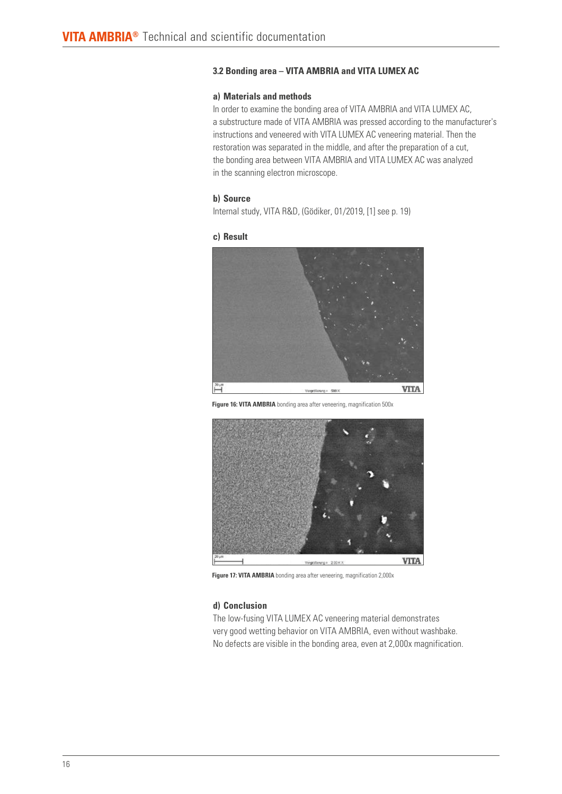## **3.2 Bonding area – VITA AMBRIA and VITA LUMEX AC**

## **a) Materials and methods**

In order to examine the bonding area of VITA AMBRIA and VITA LUMEX AC, a substructure made of VITA AMBRIA was pressed according to the manufacturer's instructions and veneered with VITA LUMEX AC veneering material. Then the restoration was separated in the middle, and after the preparation of a cut, the bonding area between VITA AMBRIA and VITA LUMEX AC was analyzed in the scanning electron microscope.

## **b) Source**

Internal study, VITA R&D, (Gödiker, 01/2019, [1] see p. 19)

#### **c) Result**



**Figure 16: VITA AMBRIA** bonding area after veneering, magnification 500x



**Figure 17: VITA AMBRIA** bonding area after veneering, magnification 2,000x

## **d) Conclusion**

The low-fusing VITA LUMEX AC veneering material demonstrates very good wetting behavior on VITA AMBRIA, even without washbake. No defects are visible in the bonding area, even at 2,000x magnification.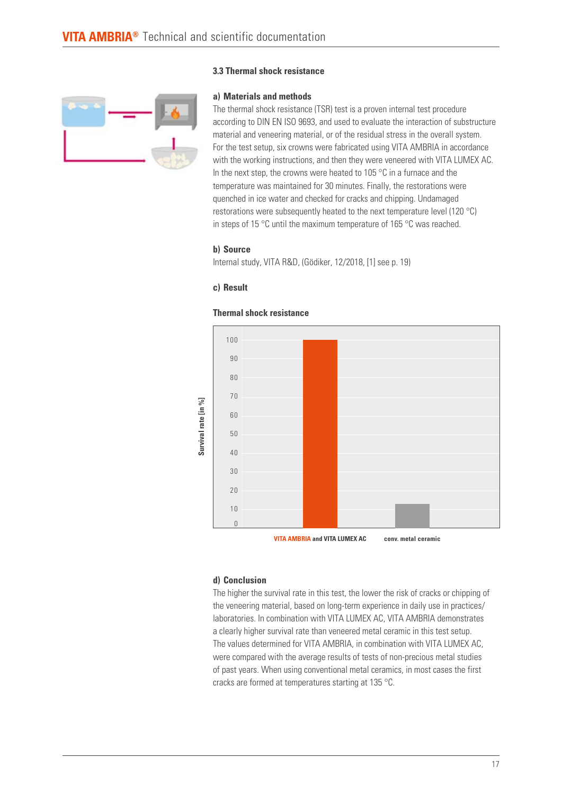## **3.3 Thermal shock resistance**



**a) Materials and methods**

The thermal shock resistance (TSR) test is a proven internal test procedure according to DIN EN ISO 9693, and used to evaluate the interaction of substructure material and veneering material, or of the residual stress in the overall system. For the test setup, six crowns were fabricated using VITA AMBRIA in accordance with the working instructions, and then they were veneered with VITA LUMEX AC. In the next step, the crowns were heated to 105 °C in a furnace and the temperature was maintained for 30 minutes. Finally, the restorations were quenched in ice water and checked for cracks and chipping. Undamaged restorations were subsequently heated to the next temperature level (120 °C) in steps of 15 °C until the maximum temperature of 165 °C was reached.

## **b) Source**

Internal study, VITA R&D, (Gödiker, 12/2018, [1] see p. 19)

## **c) Result**



## **Thermal shock resistance**

#### **d) Conclusion**

The higher the survival rate in this test, the lower the risk of cracks or chipping of the veneering material, based on long-term experience in daily use in practices/ laboratories. In combination with VITA LUMEX AC, VITA AMBRIA demonstrates a clearly higher survival rate than veneered metal ceramic in this test setup. The values determined for VITA AMBRIA, in combination with VITA LUMEX AC, were compared with the average results of tests of non-precious metal studies of past years. When using conventional metal ceramics, in most cases the first cracks are formed at temperatures starting at 135 °C.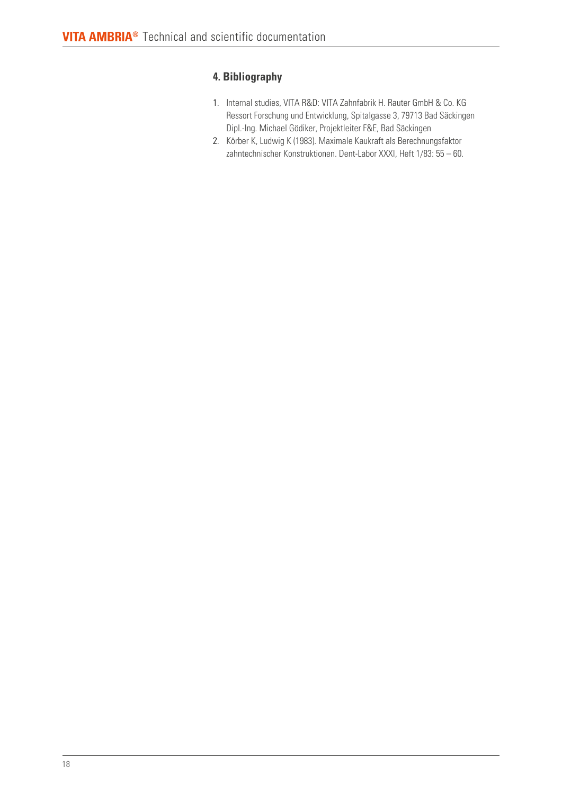# **4. Bibliography**

- 1. Internal studies, VITA R&D: VITA Zahnfabrik H. Rauter GmbH & Co. KG Ressort Forschung und Entwicklung, Spitalgasse 3, 79713 Bad Säckingen Dipl.-Ing. Michael Gödiker, Projektleiter F&E, Bad Säckingen
- 2. Körber K, Ludwig K (1983). Maximale Kaukraft als Berechnungsfaktor zahntechnischer Konstruktionen. Dent-Labor XXXI, Heft 1/83: 55 – 60.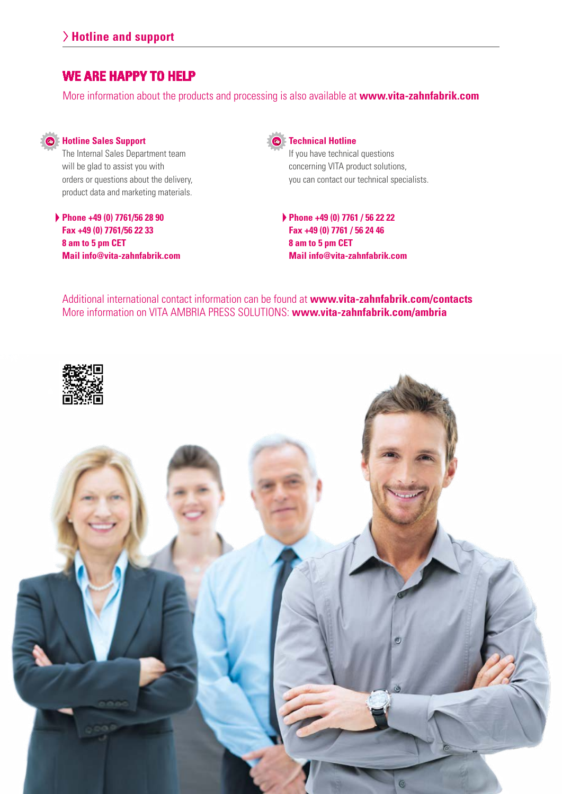# **WE ARE HAPPY TO HELP**

More information about the products and processing is also available at **www.vita-zahnfabrik.com**



# **Hotline Sales Support**

The Internal Sales Department team will be glad to assist you with orders or questions about the delivery, product data and marketing materials.

**Phone +49 (0) 7761/56 28 90 Fax +49 (0) 7761/56 22 33 8 am to 5 pm CET Mail info@vita-zahnfabrik.com**



## **Technical Hotline**

If you have technical questions concerning VITA product solutions, you can contact our technical specialists.

**Phone +49 (0) 7761 / 56 22 22 Fax +49 (0) 7761 / 56 24 46 8 am to 5 pm CET Mail info@vita-zahnfabrik.com**

Additional international contact information can be found at **www.vita-zahnfabrik.com/contacts** More information on VITA AMBRIA PRESS SOLUTIONS: **www.vita-zahnfabrik.com/ambria**